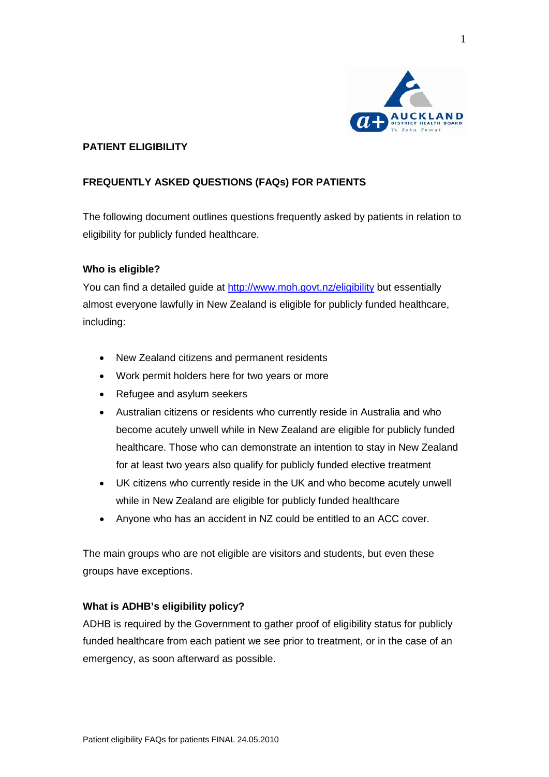

### **PATIENT ELIGIBILITY**

### **FREQUENTLY ASKED QUESTIONS (FAQs) FOR PATIENTS**

The following document outlines questions frequently asked by patients in relation to eligibility for publicly funded healthcare.

### **Who is eligible?**

You can find a detailed guide at<http://www.moh.govt.nz/eligibility> but essentially almost everyone lawfully in New Zealand is eligible for publicly funded healthcare, including:

- New Zealand citizens and permanent residents
- Work permit holders here for two years or more
- Refugee and asylum seekers
- Australian citizens or residents who currently reside in Australia and who become acutely unwell while in New Zealand are eligible for publicly funded healthcare. Those who can demonstrate an intention to stay in New Zealand for at least two years also qualify for publicly funded elective treatment
- UK citizens who currently reside in the UK and who become acutely unwell while in New Zealand are eligible for publicly funded healthcare
- Anyone who has an accident in NZ could be entitled to an ACC cover.

The main groups who are not eligible are visitors and students, but even these groups have exceptions.

### **What is ADHB's eligibility policy?**

ADHB is required by the Government to gather proof of eligibility status for publicly funded healthcare from each patient we see prior to treatment, or in the case of an emergency, as soon afterward as possible.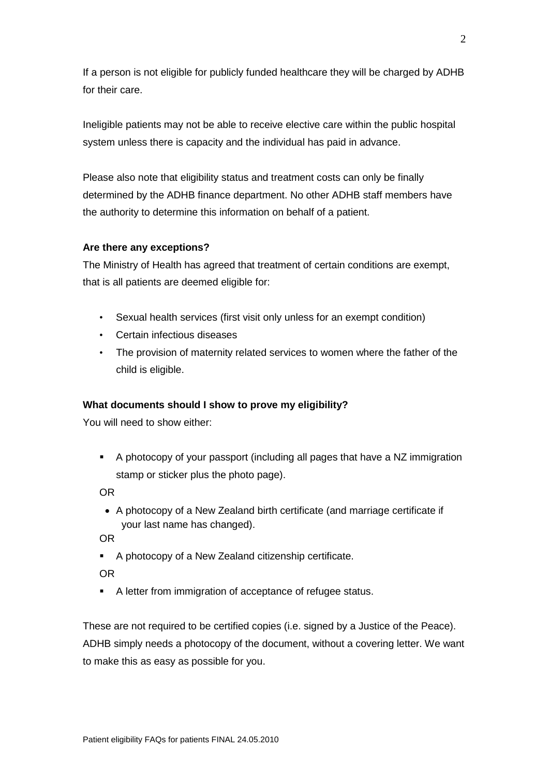If a person is not eligible for publicly funded healthcare they will be charged by ADHB for their care.

Ineligible patients may not be able to receive elective care within the public hospital system unless there is capacity and the individual has paid in advance.

Please also note that eligibility status and treatment costs can only be finally determined by the ADHB finance department. No other ADHB staff members have the authority to determine this information on behalf of a patient.

### **Are there any exceptions?**

The Ministry of Health has agreed that treatment of certain conditions are exempt, that is all patients are deemed eligible for:

- Sexual health services (first visit only unless for an exempt condition)
- Certain infectious diseases
- The provision of maternity related services to women where the father of the child is eligible.

### **What documents should I show to prove my eligibility?**

You will need to show either:

 A photocopy of your passport (including all pages that have a NZ immigration stamp or sticker plus the photo page).

OR

• A photocopy of a New Zealand birth certificate (and marriage certificate if your last name has changed).

OR

A photocopy of a New Zealand citizenship certificate.

OR

A letter from immigration of acceptance of refugee status.

These are not required to be certified copies (i.e. signed by a Justice of the Peace). ADHB simply needs a photocopy of the document, without a covering letter. We want to make this as easy as possible for you.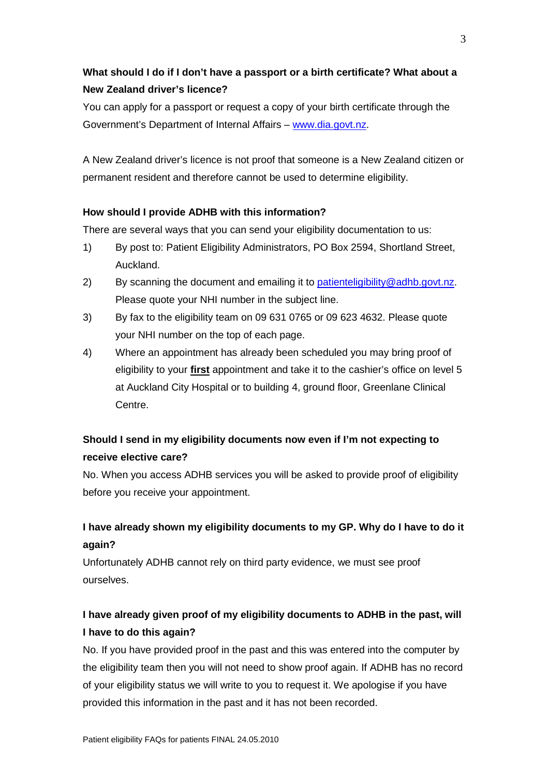# **What should I do if I don't have a passport or a birth certificate? What about a New Zealand driver's licence?**

You can apply for a passport or request a copy of your birth certificate through the Government's Department of Internal Affairs – [www.dia.govt.nz.](http://www.dia.govt.nz/)

A New Zealand driver's licence is not proof that someone is a New Zealand citizen or permanent resident and therefore cannot be used to determine eligibility.

### **How should I provide ADHB with this information?**

There are several ways that you can send your eligibility documentation to us:

- 1) By post to: Patient Eligibility Administrators, PO Box 2594, Shortland Street, Auckland.
- 2) By scanning the document and emailing it to [patienteligibility@adhb.govt.nz.](mailto:patienteligibility@adhb.govt.nz) Please quote your NHI number in the subject line.
- 3) By fax to the eligibility team on 09 631 0765 or 09 623 4632. Please quote your NHI number on the top of each page.
- 4) Where an appointment has already been scheduled you may bring proof of eligibility to your **first** appointment and take it to the cashier's office on level 5 at Auckland City Hospital or to building 4, ground floor, Greenlane Clinical Centre.

## **Should I send in my eligibility documents now even if I'm not expecting to receive elective care?**

No. When you access ADHB services you will be asked to provide proof of eligibility before you receive your appointment.

# **I have already shown my eligibility documents to my GP. Why do I have to do it again?**

Unfortunately ADHB cannot rely on third party evidence, we must see proof ourselves.

# **I have already given proof of my eligibility documents to ADHB in the past, will I have to do this again?**

No. If you have provided proof in the past and this was entered into the computer by the eligibility team then you will not need to show proof again. If ADHB has no record of your eligibility status we will write to you to request it. We apologise if you have provided this information in the past and it has not been recorded.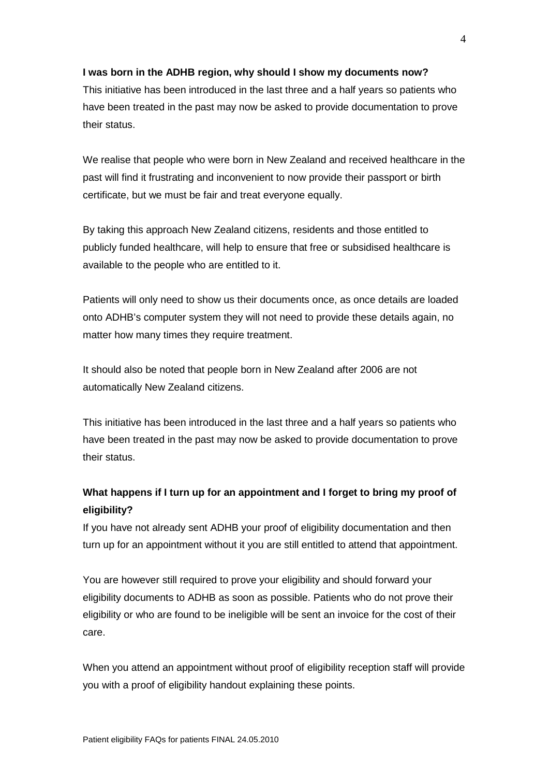#### **I was born in the ADHB region, why should I show my documents now?**

This initiative has been introduced in the last three and a half years so patients who have been treated in the past may now be asked to provide documentation to prove their status.

We realise that people who were born in New Zealand and received healthcare in the past will find it frustrating and inconvenient to now provide their passport or birth certificate, but we must be fair and treat everyone equally.

By taking this approach New Zealand citizens, residents and those entitled to publicly funded healthcare, will help to ensure that free or subsidised healthcare is available to the people who are entitled to it.

Patients will only need to show us their documents once, as once details are loaded onto ADHB's computer system they will not need to provide these details again, no matter how many times they require treatment.

It should also be noted that people born in New Zealand after 2006 are not automatically New Zealand citizens.

This initiative has been introduced in the last three and a half years so patients who have been treated in the past may now be asked to provide documentation to prove their status.

## **What happens if I turn up for an appointment and I forget to bring my proof of eligibility?**

If you have not already sent ADHB your proof of eligibility documentation and then turn up for an appointment without it you are still entitled to attend that appointment.

You are however still required to prove your eligibility and should forward your eligibility documents to ADHB as soon as possible. Patients who do not prove their eligibility or who are found to be ineligible will be sent an invoice for the cost of their care.

When you attend an appointment without proof of eligibility reception staff will provide you with a proof of eligibility handout explaining these points.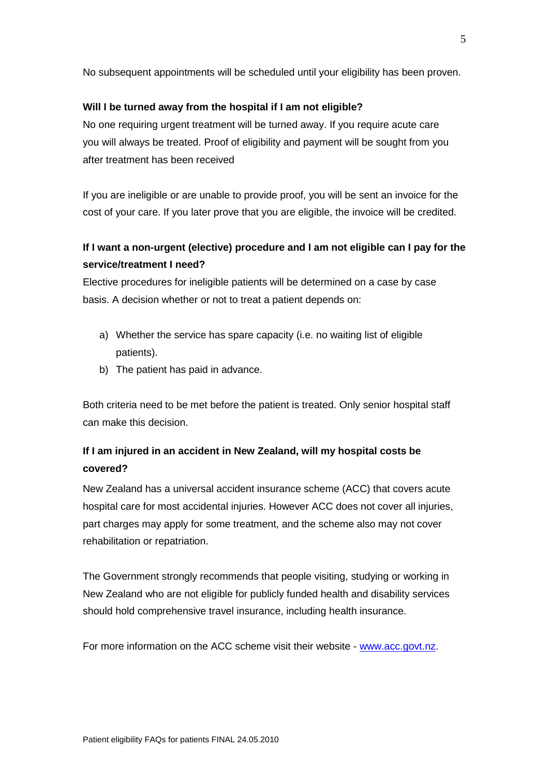No subsequent appointments will be scheduled until your eligibility has been proven.

### **Will I be turned away from the hospital if I am not eligible?**

No one requiring urgent treatment will be turned away. If you require acute care you will always be treated. Proof of eligibility and payment will be sought from you after treatment has been received

If you are ineligible or are unable to provide proof, you will be sent an invoice for the cost of your care. If you later prove that you are eligible, the invoice will be credited.

## **If I want a non-urgent (elective) procedure and I am not eligible can I pay for the service/treatment I need?**

Elective procedures for ineligible patients will be determined on a case by case basis. A decision whether or not to treat a patient depends on:

- a) Whether the service has spare capacity (i.e. no waiting list of eligible patients).
- b) The patient has paid in advance.

Both criteria need to be met before the patient is treated. Only senior hospital staff can make this decision.

## **If I am injured in an accident in New Zealand, will my hospital costs be covered?**

New Zealand has a universal accident insurance scheme (ACC) that covers acute hospital care for most accidental injuries. However ACC does not cover all injuries, part charges may apply for some treatment, and the scheme also may not cover rehabilitation or repatriation.

The Government strongly recommends that people visiting, studying or working in New Zealand who are not eligible for publicly funded health and disability services should hold comprehensive travel insurance, including health insurance.

For more information on the ACC scheme visit their website - [www.acc.govt.nz.](http://www.acc.govt.nz/)